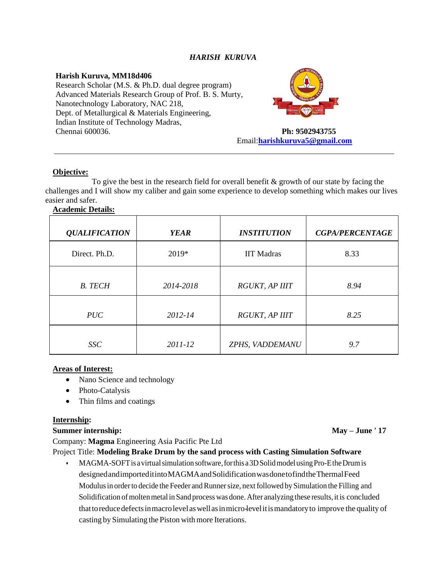# *HARISH KURUVA*

#### **Harish Kuruva, MM18d406** Research Scholar (M.S. & Ph.D. dual degree program) Advanced Materials Research Group of Prof. B. S. Murty, Nanotechnology Laboratory, NAC 218, Dept. of Metallurgical & Materials Engineering, Indian Institute of Technology Madras, Chennai 600036. **Ph: 9502943755**



# Email:**[harishkuruva5@gmail.com](mailto:harishkuruva5@gmail.com)**

#### **Objective:**

To give the best in the research field for overall benefit  $\&$  growth of our state by facing the challenges and I will show my caliber and gain some experience to develop something which makes our lives easier and safer.

#### **Academic Details:**

| <b>QUALIFICATION</b> | <b>YEAR</b> | <b>INSTITUTION</b> | <b>CGPA/PERCENTAGE</b> |
|----------------------|-------------|--------------------|------------------------|
| Direct. Ph.D.        | 2019*       | <b>IIT Madras</b>  | 8.33                   |
| <b>B.</b> TECH       | 2014-2018   | RGUKT, AP IIIT     | 8.94                   |
| PUC                  | 2012-14     | RGUKT, AP IIIT     | 8.25                   |
| <b>SSC</b>           | 2011-12     | ZPHS, VADDEMANU    | 9.7                    |

#### **Areas of Interest:**

- Nano Science and technology
- Photo-Catalysis
- Thin films and coatings

#### **Internship:**

# **Summer internship: May – June ' 17**

Company: **Magma** Engineering Asia Pacific Pte Ltd

Project Title: **Modeling Brake Drum by the sand process with Casting Simulation Software**

MAGMA-SOFT is a virtual simulation software, for this a 3D Solid model using Pro-Ethe Drum is designedandimporteditintoMAGMAandSolidificationwasdonetofindtheThermalFeed Modulus in order to decide the Feeder and Runner size, next followed by Simulation the Filling and Solidification of molten metal in Sand process was done. After analyzing these results, it is concluded thattoreducedefectsinmacrolevelaswell asinmicro-levelitismandatoryto improve the quality of casting by Simulating the Piston withmore Iterations.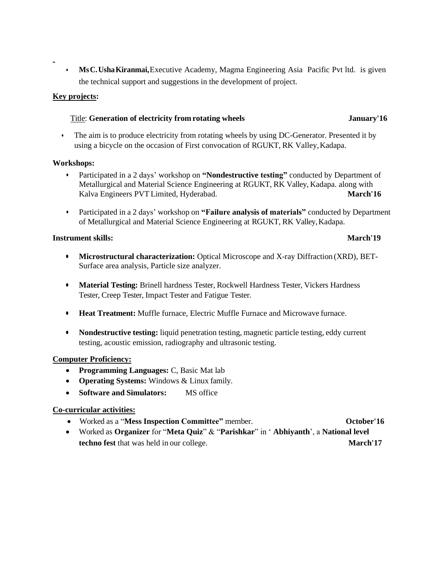• **MsC.UshaKiranmai,**Executive Academy, Magma Engineering Asia Pacific Pvt ltd. is given the technical support and suggestions in the development of project.

## **Key projects:**

## Title: **Generation of electricity from rotating wheels January'16**

• The aim is to produce electricity from rotating wheels by using DC-Generator. Presented it by using a bicycle on the occasion of First convocation of RGUKT, RK Valley,Kadapa.

#### **Workshops:**

- Participated in a 2 days' workshop on **"Nondestructive testing"** conducted by Department of Metallurgical and Material Science Engineering at RGUKT, RK Valley, Kadapa. along with Kalva Engineers PVT Limited, Hyderabad. **March'16**
- Participated in a 2 days' workshop on **"Failure analysis of materials"** conducted by Department of Metallurgical and Material Science Engineering at RGUKT, RK Valley,Kadapa.

#### **Instrument skills: March'19**

- **Microstructural characterization:** Optical Microscope and X-ray Diffraction (XRD), BET-Surface area analysis, Particle size analyzer.
- **Material Testing:** Brinell hardness Tester, Rockwell Hardness Tester, Vickers Hardness Tester, Creep Tester, Impact Tester and Fatigue Tester.
- **Heat Treatment:** Muffle furnace, Electric Muffle Furnace and Microwave furnace.
- **Nondestructive testing:** liquid penetration testing, magnetic particle testing, eddy current testing, acoustic emission, radiography and ultrasonic testing.

#### **Computer Proficiency:**

- **Programming Languages:** C, Basic Mat lab
- **Operating Systems:** Windows & Linux family.
- **Software and Simulators:** MS office

# **Co-curricular activities:**

- Worked as a "**Mess Inspection Committee"** member. **October'16**
	-
- Worked as **Organizer** for "**Meta Quiz**" & "**Parishkar**" in ' **Abhiyanth**', a **National level techno fest** that was held in our college. March'17